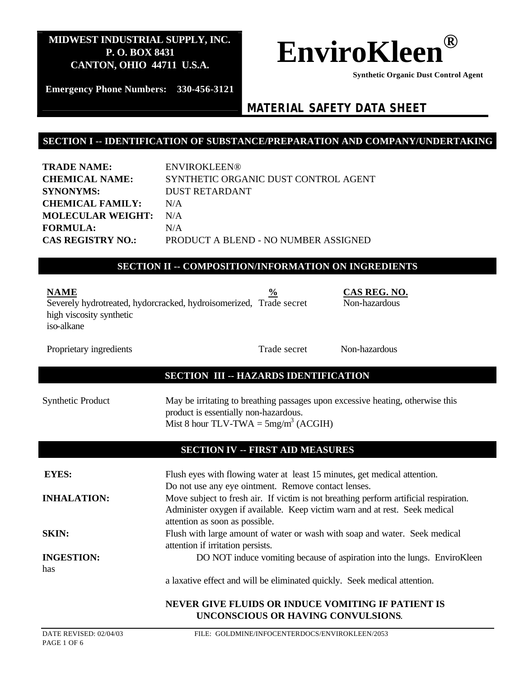

 **Synthetic Organic Dust Control Agent** 

**Emergency Phone Numbers: 330-456-3121**

# *MATERIAL SAFETY DATA SHEET*

#### **SECTION I -- IDENTIFICATION OF SUBSTANCE/PREPARATION AND COMPANY/UNDERTAKING**

| <b>TRADE NAME:</b>       | ENVIROKLEEN®                         |
|--------------------------|--------------------------------------|
| <b>CHEMICAL NAME:</b>    | SYNTHETIC ORGANIC DUST CONTROL AGENT |
| <b>SYNONYMS:</b>         | <b>DUST RETARDANT</b>                |
| <b>CHEMICAL FAMILY:</b>  | N/A                                  |
| <b>MOLECULAR WEIGHT:</b> | N/A                                  |
| <b>FORMULA:</b>          | N/A                                  |
| <b>CAS REGISTRY NO.:</b> | PRODUCT A BLEND - NO NUMBER ASSIGNED |

#### **SECTION II -- COMPOSITION/INFORMATION ON INGREDIENTS**

| <b>NAME</b>                                                        | $\frac{6}{9}$ |
|--------------------------------------------------------------------|---------------|
| Severely hydrotreated, hydrotracked, hydroisomerized, Trade secret |               |
| high viscosity synthetic                                           |               |
| iso-alkane                                                         |               |

Proprietary ingredients

Trade secret

Non-hazardous

**NAME % CAS REG. NO.**

Non-hazardous

#### **SECTION III -- HAZARDS IDENTIFICATION**

| Synthetic Product | May be irritating to breathing passages upon excessive heating, otherwise this |
|-------------------|--------------------------------------------------------------------------------|
|                   | product is essentially non-hazardous.                                          |
|                   | Mist 8 hour TLV-TWA = $5mg/m^3$ (ACGIH)                                        |

#### **SECTION IV -- FIRST AID MEASURES**

| <b>EYES:</b>             | Flush eyes with flowing water at least 15 minutes, get medical attention.<br>Do not use any eye ointment. Remove contact lenses.                                                                      |
|--------------------------|-------------------------------------------------------------------------------------------------------------------------------------------------------------------------------------------------------|
| <b>INHALATION:</b>       | Move subject to fresh air. If victim is not breathing perform artificial respiration.<br>Administer oxygen if available. Keep victim warn and at rest. Seek medical<br>attention as soon as possible. |
| <b>SKIN:</b>             | Flush with large amount of water or wash with soap and water. Seek medical<br>attention if irritation persists.                                                                                       |
| <b>INGESTION:</b><br>has | DO NOT induce vomiting because of aspiration into the lungs. EnviroKleen                                                                                                                              |
|                          | a laxative effect and will be eliminated quickly. Seek medical attention.                                                                                                                             |
|                          | <b>NEVER GIVE FLUIDS OR INDUCE VOMITING IF PATIENT IS</b><br>UNCONSCIOUS OR HAVING CONVULSIONS.                                                                                                       |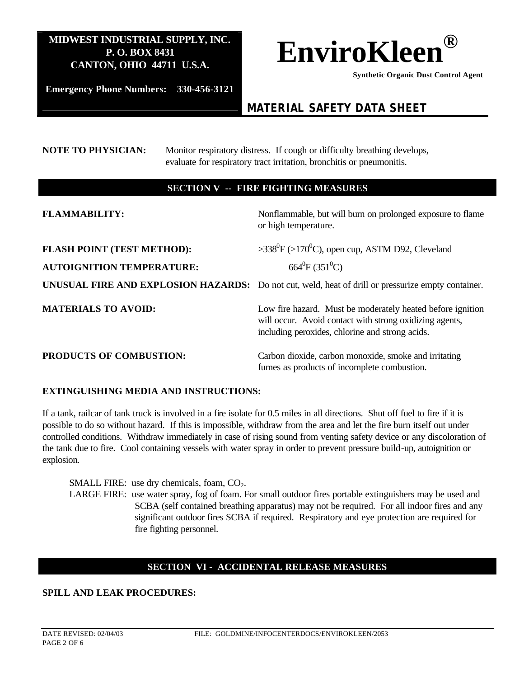

 **Synthetic Organic Dust Control Agent** 

**Emergency Phone Numbers: 330-456-3121**

# *MATERIAL SAFETY DATA SHEET*

#### **NOTE TO PHYSICIAN:** Monitor respiratory distress. If cough or difficulty breathing develops, evaluate for respiratory tract irritation, bronchitis or pneumonitis.

#### **SECTION V -- FIRE FIGHTING MEASURES**

| <b>FLAMMABILITY:</b>                                                  | Nonflammable, but will burn on prolonged exposure to flame<br>or high temperature.                                                                                       |
|-----------------------------------------------------------------------|--------------------------------------------------------------------------------------------------------------------------------------------------------------------------|
| <b>FLASH POINT (TEST METHOD):</b><br><b>AUTOIGNITION TEMPERATURE:</b> | $>338^{\circ}F$ ( $>170^{\circ}C$ ), open cup, ASTM D92, Cleveland<br>$664^{\circ}F(351^{\circ}C)$                                                                       |
|                                                                       | UNUSUAL FIRE AND EXPLOSION HAZARDS: Do not cut, weld, heat of drill or pressurize empty container.                                                                       |
| <b>MATERIALS TO AVOID:</b>                                            | Low fire hazard. Must be moderately heated before ignition<br>will occur. Avoid contact with strong oxidizing agents,<br>including peroxides, chlorine and strong acids. |
| <b>PRODUCTS OF COMBUSTION:</b>                                        | Carbon dioxide, carbon monoxide, smoke and irritating<br>fumes as products of incomplete combustion.                                                                     |

#### **EXTINGUISHING MEDIA AND INSTRUCTIONS:**

If a tank, railcar of tank truck is involved in a fire isolate for 0.5 miles in all directions. Shut off fuel to fire if it is possible to do so without hazard. If this is impossible, withdraw from the area and let the fire burn itself out under controlled conditions. Withdraw immediately in case of rising sound from venting safety device or any discoloration of the tank due to fire. Cool containing vessels with water spray in order to prevent pressure build-up, autoignition or explosion.

SMALL FIRE: use dry chemicals, foam,  $CO<sub>2</sub>$ . LARGE FIRE: use water spray, fog of foam. For small outdoor fires portable extinguishers may be used and SCBA (self contained breathing apparatus) may not be required. For all indoor fires and any significant outdoor fires SCBA if required. Respiratory and eye protection are required for fire fighting personnel.

### **SECTION VI - ACCIDENTAL RELEASE MEASURES**

#### **SPILL AND LEAK PROCEDURES:**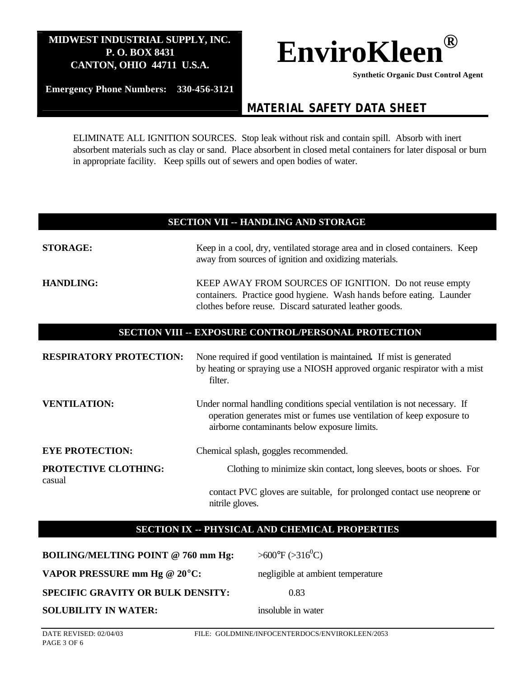

 **Synthetic Organic Dust Control Agent** 

**Emergency Phone Numbers: 330-456-3121**

# *MATERIAL SAFETY DATA SHEET*

ELIMINATE ALL IGNITION SOURCES. Stop leak without risk and contain spill. Absorb with inert absorbent materials such as clay or sand. Place absorbent in closed metal containers for later disposal or burn in appropriate facility. Keep spills out of sewers and open bodies of water.

#### **SECTION VII -- HANDLING AND STORAGE**

| <b>STORAGE:</b>                                      | Keep in a cool, dry, ventilated storage area and in closed containers. Keep<br>away from sources of ignition and oxidizing materials.                                                              |  |
|------------------------------------------------------|----------------------------------------------------------------------------------------------------------------------------------------------------------------------------------------------------|--|
| <b>HANDLING:</b>                                     | KEEP AWAY FROM SOURCES OF IGNITION. Do not reuse empty<br>containers. Practice good hygiene. Wash hands before eating. Launder<br>clothes before reuse. Discard saturated leather goods.           |  |
| SECTION VIII -- EXPOSURE CONTROL/PERSONAL PROTECTION |                                                                                                                                                                                                    |  |
| <b>RESPIRATORY PROTECTION:</b>                       | None required if good ventilation is maintained. If mist is generated<br>by heating or spraying use a NIOSH approved organic respirator with a mist<br>filter.                                     |  |
| <b>VENTILATION:</b>                                  | Under normal handling conditions special ventilation is not necessary. If<br>operation generates mist or fumes use ventilation of keep exposure to<br>airborne contaminants below exposure limits. |  |
| <b>EYE PROTECTION:</b>                               | Chemical splash, goggles recommended.                                                                                                                                                              |  |
| PROTECTIVE CLOTHING:<br>casual                       | Clothing to minimize skin contact, long sleeves, boots or shoes. For                                                                                                                               |  |
|                                                      | contact PVC gloves are suitable, for prolonged contact use neoprene or<br>nitrile gloves.                                                                                                          |  |

### **SECTION IX -- PHYSICAL AND CHEMICAL PROPERTIES**

**BOILING/MELTING POINT @ 760 mm Hg:**  $>600^{\circ}F$  (>316<sup>0</sup>C) **VAPOR PRESSURE mm Hg @ 20°C:** negligible at ambient temperature **SPECIFIC GRAVITY OR BULK DENSITY:** 0.83

**SOLUBILITY IN WATER:** insoluble in water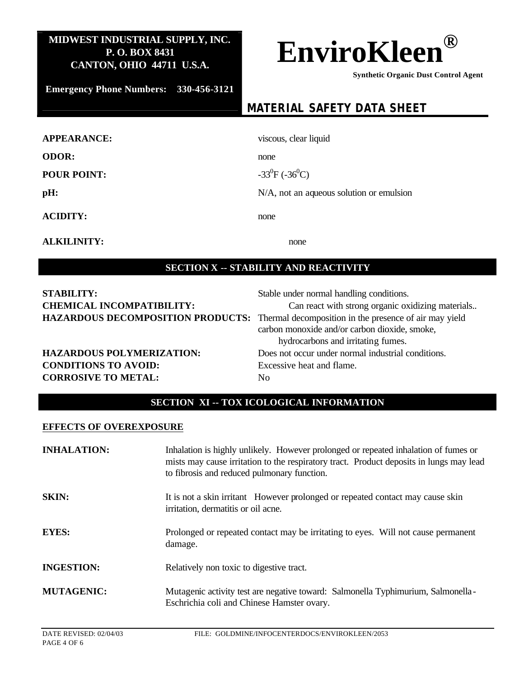

 **Synthetic Organic Dust Control Agent** 

**Emergency Phone Numbers: 330-456-3121**

# *MATERIAL SAFETY DATA SHEET*

| <b>APPEARANCE:</b> | viscous, clear liquid                    |
|--------------------|------------------------------------------|
| <b>ODOR:</b>       | none                                     |
| <b>POUR POINT:</b> | $-33^{0}F(-36^{0}C)$                     |
| pH:                | N/A, not an aqueous solution or emulsion |
| <b>ACIDITY:</b>    | none                                     |

**ALKILINITY:** none

#### **SECTION X -- STABILITY AND REACTIVITY**

| <b>STABILITY:</b>                | Stable under normal handling conditions.                                                 |
|----------------------------------|------------------------------------------------------------------------------------------|
| <b>CHEMICAL INCOMPATIBILITY:</b> | Can react with strong organic oxidizing materials                                        |
|                                  | HAZARDOUS DECOMPOSITION PRODUCTS: Thermal decomposition in the presence of air may yield |
|                                  | carbon monoxide and/or carbon dioxide, smoke,                                            |
|                                  | hydrocarbons and irritating fumes.                                                       |
| <b>HAZARDOUS POLYMERIZATION:</b> | Does not occur under normal industrial conditions.                                       |
| <b>CONDITIONS TO AVOID:</b>      | Excessive heat and flame.                                                                |
| <b>CORROSIVE TO METAL:</b>       | No.                                                                                      |
|                                  |                                                                                          |

# **SECTION XI -- TOX ICOLOGICAL INFORMATION**

#### **EFFECTS OF OVEREXPOSURE**

| <b>INHALATION:</b> | Inhalation is highly unlikely. However prolonged or repeated inhalation of fumes or<br>mists may cause irritation to the respiratory tract. Product deposits in lungs may lead<br>to fibrosis and reduced pulmonary function. |
|--------------------|-------------------------------------------------------------------------------------------------------------------------------------------------------------------------------------------------------------------------------|
| <b>SKIN:</b>       | It is not a skin irritant However prolonged or repeated contact may cause skin<br>irritation, dermatitis or oil acne.                                                                                                         |
| <b>EYES:</b>       | Prolonged or repeated contact may be irritating to eyes. Will not cause permanent<br>damage.                                                                                                                                  |
| <b>INGESTION:</b>  | Relatively non toxic to digestive tract.                                                                                                                                                                                      |
| <b>MUTAGENIC:</b>  | Mutagenic activity test are negative toward: Salmonella Typhimurium, Salmonella<br>Eschrichia coli and Chinese Hamster ovary.                                                                                                 |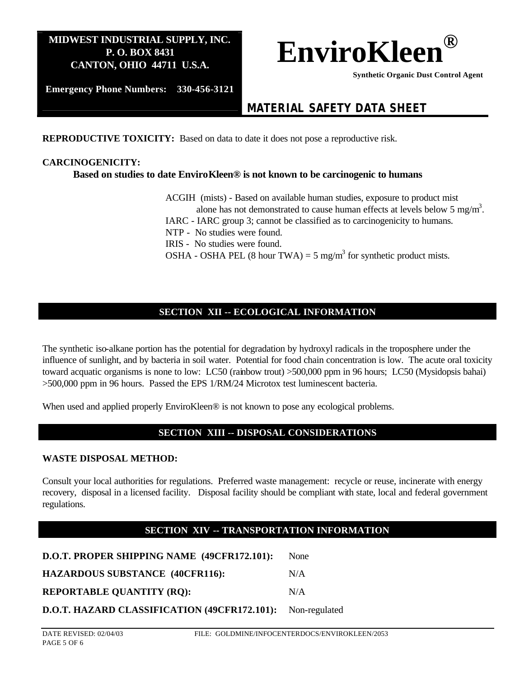

 **Synthetic Organic Dust Control Agent** 

**Emergency Phone Numbers: 330-456-3121**

# *MATERIAL SAFETY DATA SHEET*

**REPRODUCTIVE TOXICITY:** Based on data to date it does not pose a reproductive risk.

#### **CARCINOGENICITY:**

**Based on studies to date EnviroKleen® is not known to be carcinogenic to humans**

ACGIH (mists) - Based on available human studies, exposure to product mist alone has not demonstrated to cause human effects at levels below 5 mg/m<sup>3</sup>.

IARC - IARC group 3; cannot be classified as to carcinogenicity to humans.

NTP - No studies were found.

IRIS - No studies were found.

OSHA - OSHA PEL (8 hour TWA) = 5 mg/m<sup>3</sup> for synthetic product mists.

# **SECTION XII -- ECOLOGICAL INFORMATION**

The synthetic iso-alkane portion has the potential for degradation by hydroxyl radicals in the troposphere under the influence of sunlight, and by bacteria in soil water. Potential for food chain concentration is low. The acute oral toxicity toward acquatic organisms is none to low: LC50 (rainbow trout) >500,000 ppm in 96 hours; LC50 (Mysidopsis bahai) >500,000 ppm in 96 hours. Passed the EPS 1/RM/24 Microtox test luminescent bacteria.

When used and applied properly EnviroKleen<sup>®</sup> is not known to pose any ecological problems.

### **SECTION XIII -- DISPOSAL CONSIDERATIONS**

#### **WASTE DISPOSAL METHOD:**

Consult your local authorities for regulations. Preferred waste management: recycle or reuse, incinerate with energy recovery, disposal in a licensed facility. Disposal facility should be compliant with state, local and federal government regulations.

### **SECTION XIV -- TRANSPORTATION INFORMATION**

| D.O.T. PROPER SHIPPING NAME (49CFR172.101): | <b>None</b> |
|---------------------------------------------|-------------|
| <b>HAZARDOUS SUBSTANCE (40CFR116):</b>      | N/A         |
| <b>REPORTABLE QUANTITY (RQ):</b>            | N/A         |

|  | D.O.T. HAZARD CLASSIFICATION (49CFR172.101): Non-regulated |  |  |
|--|------------------------------------------------------------|--|--|
|--|------------------------------------------------------------|--|--|